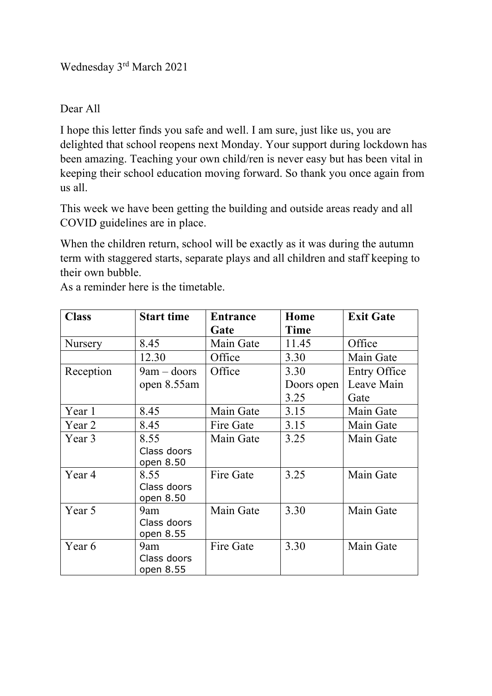Wednesday 3rd March 2021

Dear All

I hope this letter finds you safe and well. I am sure, just like us, you are delighted that school reopens next Monday. Your support during lockdown has been amazing. Teaching your own child/ren is never easy but has been vital in keeping their school education moving forward. So thank you once again from us all.

This week we have been getting the building and outside areas ready and all COVID guidelines are in place.

When the children return, school will be exactly as it was during the autumn term with staggered starts, separate plays and all children and staff keeping to their own bubble.

| <b>Class</b> | <b>Start time</b> | <b>Entrance</b> | Home       | <b>Exit Gate</b> |
|--------------|-------------------|-----------------|------------|------------------|
|              |                   | Gate            | Time       |                  |
| Nursery      | 8.45              | Main Gate       | 11.45      | Office           |
|              | 12.30             | Office          | 3.30       | Main Gate        |
| Reception    | $9am - doors$     | Office          | 3.30       | Entry Office     |
|              | open 8.55 am      |                 | Doors open | Leave Main       |
|              |                   |                 | 3.25       | Gate             |
| Year 1       | 8.45              | Main Gate       | 3.15       | Main Gate        |
| Year 2       | 8.45              | Fire Gate       | 3.15       | Main Gate        |
| Year 3       | 8.55              | Main Gate       | 3.25       | Main Gate        |
|              | Class doors       |                 |            |                  |
|              | open 8.50         |                 |            |                  |
| Year 4       | 8.55              | Fire Gate       | 3.25       | Main Gate        |
|              | Class doors       |                 |            |                  |
|              | open 8.50         |                 |            |                  |
| Year 5       | 9am               | Main Gate       | 3.30       | Main Gate        |
|              | Class doors       |                 |            |                  |
|              | open 8.55         |                 |            |                  |
| Year 6       | 9am               | Fire Gate       | 3.30       | Main Gate        |
|              | Class doors       |                 |            |                  |
|              | open 8.55         |                 |            |                  |

As a reminder here is the timetable.